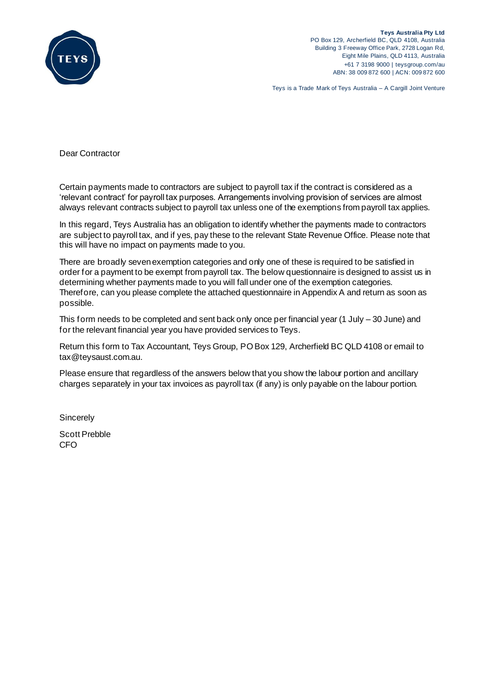

Teys is a Trade Mark of Teys Australia – A Cargill Joint Venture

Dear Contractor

Certain payments made to contractors are subject to payroll tax if the contract is considered as a 'relevant contract' for payroll tax purposes. Arrangements involving provision of services are almost always relevant contracts subject to payroll tax unless one of the exemptions from payroll tax applies.

In this regard, Teys Australia has an obligation to identify whether the payments made to contractors are subject to payroll tax, and if yes, pay these to the relevant State Revenue Office. Please note that this will have no impact on payments made to you.

There are broadly seven exemption categories and only one of these is required to be satisfied in order for a payment to be exempt from payroll tax. The below questionnaire is designed to assist us in determining whether payments made to you will fall under one of the exemption categories. Therefore, can you please complete the attached questionnaire in Appendix A and return as soon as possible.

This form needs to be completed and sent back only once per financial year (1 July – 30 June) and for the relevant financial year you have provided services to Teys.

Return this form to Tax Accountant, Teys Group, POBox 129, Archerfield BC QLD 4108 or email to tax@teysaust.com.au.

Please ensure that regardless of the answers below that you show the labour portion and ancillary charges separately in your tax invoices as payroll tax (if any) is only payable on the labour portion.

**Sincerely** 

Scott Prebble CFO